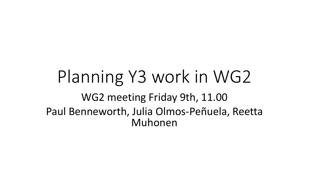# Planning Y3 work in WG2 WG2 meeting Friday 9th, 11.00 Paul Benneworth, Julia Olmos-Peñuela, Reetta Muhonen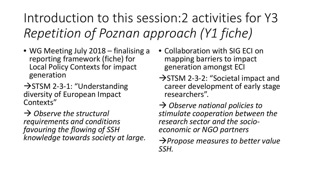Introduction to this session:2 activities for Y3 *Repetition of Poznan approach (Y1 fiche)*

- WG Meeting July 2018 finalising a reporting framework (fiche) for Local Policy Contexts for impact generation
- $\rightarrow$  STSM 2-3-1: "Understanding diversity of European Impact Contexts"

 *Observe the structural requirements and conditions favouring the flowing of SSH knowledge towards society at large.*

- Collaboration with SIG ECI on mapping barriers to impact generation amongst ECI
- $\rightarrow$  STSM 2-3-2: "Societal impact and career development of early stage researchers".

 *Observe national policies to stimulate cooperation between the research sector and the socio- economic or NGO partners* 

*Propose measures to better value SSH.*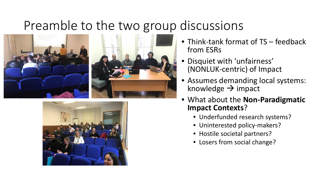#### Preamble to the two group discussions





- Think-tank format of TS feedback from ESRs
- Disquiet with 'unfairness' (NONLUK-centric) of Impact
- Assumes demanding local systems: knowledge  $\rightarrow$  impact
- What about the **Non-Paradigmatic Impact Contexts**?
	- Underfunded research systems?
	- Uninterested policy-makers?
	- Hostile societal partners?
	- Losers from social change?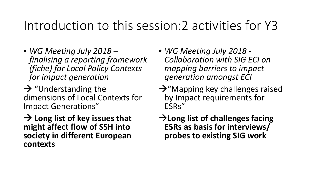#### Introduction to this session:2 activities for Y3

• *WG Meeting July 2018 – finalising a reporting framework (fiche) for Local Policy Contexts for impact generation*

 $\rightarrow$  "Understanding the dimensions of Local Contexts for Impact Generations"

**→ Long list of key issues that might affect flow of SSH into society in different European contexts**

- *WG Meeting July 2018 - Collaboration with SIG ECI on mapping barriers to impact generation amongst ECI*
- $\rightarrow$ "Mapping key challenges raised by Impact requirements for ESRs"
- **Long list of challenges facing ESRs as basis for interviews/ probes to existing SIG work**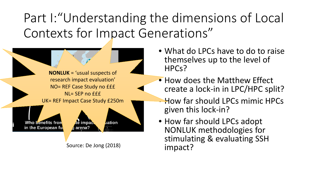Part I:"Understanding the dimensions of Local Contexts for Impact Generations"



- What do LPCs have to do to raise themselves up to the level of HPCs?
- How does the Matthew Effect create a lock-in in LPC/HPC split?
- How far should LPCs mimic HPCs given this lock-in?
- How far should LPCs adopt NONLUK methodologies for stimulating & evaluating SSH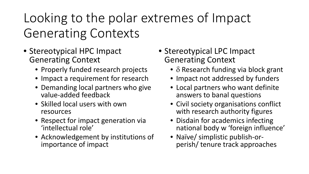Looking to the polar extremes of Impact Generating Contexts

- Stereotypical HPC Impact Generating Context
	- Properly funded research projects
	- Impact a requirement for research
	- Demanding local partners who give value-added feedback
	- Skilled local users with own resources
	- Respect for impact generation via 'intellectual role'
	- Acknowledgement by institutions of importance of impact
- Stereotypical LPC Impact Generating Context
	- $\delta$  Research funding via block grant
	- Impact not addressed by funders
	- Local partners who want definite answers to banal questions
	- Civil society organisations conflict with research authority figures
	- Disdain for academics infecting national body w 'foreign influence'
	- Naïve/ simplistic publish-or- perish/ tenure track approaches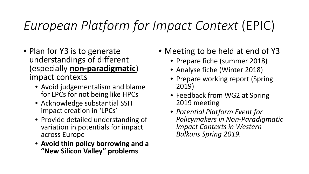# *European Platform for Impact Context* (EPIC)

- Plan for Y3 is to generate understandings of different (especially **non-paradigmatic**) impact contexts
	- Avoid judgementalism and blame for LPCs for not being like HPCs
	- Acknowledge substantial SSH impact creation in 'LPCs'
	- Provide detailed understanding of variation in potentials for impact across Europe
	- **Avoid thin policy borrowing and a "New Silicon Valley" problems**
- Meeting to be held at end of Y3
	- Prepare fiche (summer 2018)
	- Analyse fiche (Winter 2018)
	- Prepare working report (Spring 2019)
	- Feedback from WG2 at Spring 2019 meeting
	- *Potential Platform Event for Policymakers in Non-Paradigmatic Impact Contexts in Western Balkans Spring 2019.*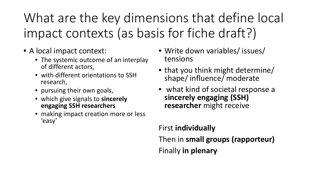- A local impact context:
	- The systemic outcome of an interplay of different actors,
	- with different orientations to SSH research,
	- pursuing their own goals,
	- which give signals to **sincerely engaging SSH researchers**
	- making impact creation more or less 'easy'
- Write down variables/ issues/ tensions
- that you think might determine/ shape/ influence/ moderate
- what kind of societal response a **sincerely engaging (SSH) researcher** might receive

First **individually** Then in **small groups (rapporteur)** Finally **in plenary**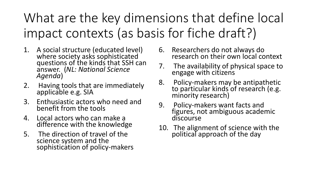- 1. A social structure (educated level) where society asks sophisticated questions of the kinds that SSH can answer. (*NL: National Science Agenda*)
- 2. Having tools that are immediately applicable e.g. SIA
- 3. Enthusiastic actors who need and benefit from the tools
- 4. Local actors who can make a difference with the knowledge
- 5. The direction of travel of the science system and the sophistication of policy-makers
- 6. Researchers do not always do research on their own local context
- 7. The availability of physical space to engage with citizens
- 8. Policy-makers may be antipathetic<br>to particular kinds of research (e.g. minority research)
- 9. Policy-makers want facts and figures, not ambiguous academic discourse
- 10. The alignment of science with the political approach of the day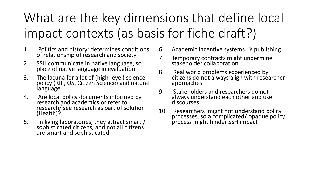- 1. Politics and history: determines conditions of relationship of research and society
- 2. SSH communicate in native language, so place of native language in evaluation
- 3. The lacuna for a lot of (high-level) science policy (RRI, OS, Citizen Science) and natural language
- 4. Are local policy documents informed by research and academics or refer to research/ see research as part of solution (Health)?
- 5. In living laboratories, they attract smart / sophisticated citizens, and not all citizens are smart and sophisticated
- 6. Academic incentive systems  $\rightarrow$  publishing
- 7. Temporary contracts might undermine stakeholder collaboration
- 8. Real world problems experienced by citizens do not always align with researcher approaches
- 9. Stakeholders and researchers do not always understand each other and use discourses
- 10. Researchers might not understand policy processes, so a complicated/ opaque policy process might hinder SSH impact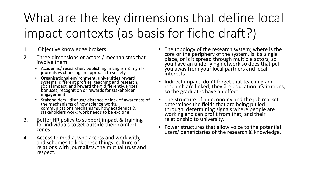- 1. Objective knowledge brokers.
- 2. Three dimensions or actors / mechanisms that involve them
	- Academic/ researcher: publishing in English & high IF journals vs choosing an approach to society
	- Organisational environment: universities reward systems: different profiles: teaching and research, social impact, and reward them differently. Prizes, bonuses, recognition or rewards for stakeholder engagement.
	- Stakeholders : distrust/ distance or lack of awareness of the mechanisms of how science works, communications mechanisms, how academics & stakeholders work; work needs to be exciting
- 3. Better HR policy to support impact & training for individuals to get outside their comfort zones
- 4. Access to media, who access and work with, and schemes to link these things; culture of relations with journalists, the mutual trust and respect.
- The topology of the research system; where is the core or the periphery of the system, is it a single place, or is it spread through multiple actors, so you have an underlying network so does that pull you away from your local partners and local interests
- Indirect impact: don't forget that teaching and research are linked, they are education institutions, so the graduates have an effect
- The structure of an economy and the job market determines the fields that are being pulled through, determining signals where people are working and can profit from that, and their relationship to university.
- Power structures that allow voice to the potential users/ beneficiaries of the research & knowledge.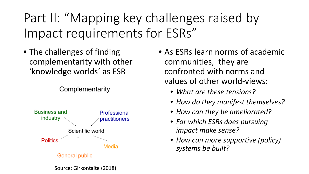Part II: "Mapping key challenges raised by Impact requirements for ESRs"

• The challenges of finding complementarity with other 'knowledge worlds' as ESR

Complementarity



- As ESRs learn norms of academic communities, they are confronted with norms and values of other world-views:
	- *What are these tensions?*
	- *How do they manifest themselves?*
	- *How can they be ameliorated?*
	- *For which ESRs does pursuing impact make sense?*
	- *How can more supportive (policy) systems be built?*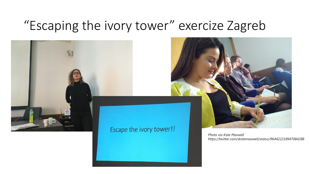#### "Escaping the ivory tower" exercize Zagreb



#### Escape the ivory tower!!

*Photo via Kate Maxwell https://twitter.com/skatemaxwell/status/964422218947084288*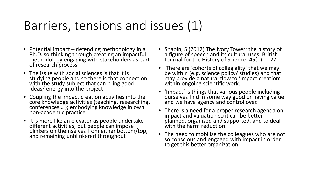## Barriers, tensions and issues (1)

- Potential impact defending methodology in a Ph.D. so thinking through creating an impactful methodology engaging with stakeholders as part of research process
- The issue with social sciences is that it is studying people and so there is that connection with the study subject that can bring good ideas/ energy into the project
- Coupling the impact creation activities into the core knowledge activities (teaching, researching, conferences …); embodying knowledge in own non-academic practice
- It is more like an elevator as people undertake different activities; but people can impose blinkers on themselves from either bottom/top, and remaining unblinkered throughout
- Shapin, S (2012) The Ivory Tower: the history of a figure of speech and its cultural uses. British Journal for the History of Science, 45(1): 1-27.
- There are 'cohorts of collegiality' that we may be within (e.g. science policy/ studies) and that may provide a natural flow to 'impact creation' within ongoing scientific work.
- 'Impact' is things that various people including ourselves find in some way good or having value and we have agency and control over.
- There is a need for a proper research agenda on impact and valuation so it can be better planned, organized and supported, and to deal with the harm reduction.
- The need to mobilise the colleagues who are not so conscious and engaged with impact in order to get this better organization.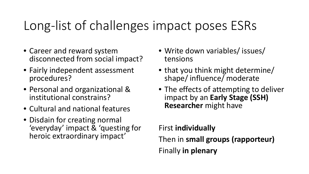- Career and reward system disconnected from social impact?
- Fairly independent assessment procedures?
- Personal and organizational & institutional constrains?
- Cultural and national features
- Disdain for creating normal 'everyday' impact & 'questing for heroic extraordinary impact'
- Write down variables/ issues/ tensions
- that you think might determine/ shape/ influence/ moderate
- The effects of attempting to deliver impact by an **Early Stage (SSH) Researcher** might have

#### First **individually** Then in **small groups (rapporteur)** Finally **in plenary**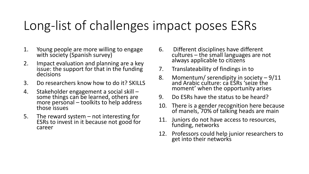- 1. Young people are more willing to engage with society (Spanish survey)
- 2. Impact evaluation and planning are a key issue: the support for that in the funding decisions
- 3. Do researchers know how to do it? SKILLS
- 4. Stakeholder engagement a social skill –<br>some things can be learned, others are more personal – toolkits to help address<br>those issues
- 5. The reward system not interesting for<br>ESRs to invest in it because not good for career
- 6. Different disciplines have different cultures – the small languages are not always applicable to citizens
- 7. Translateability of findings in to
- 8. Momentum/ serendipity in society 9/11 and Arabic culture: ca ESRs 'seize the moment' when the opportunity arises
- 9. Do ESRs have the status to be heard?
- 10. There is a gender recognition here because of manels, 70% of talking heads are main
- 11. Juniors do not have access to resources, funding, networks
- 12. Professors could help junior researchers to get into their networks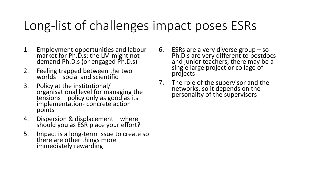- 1. Employment opportunities and labour<br>market for Ph.D.s; the LM might not demand Ph.D.s (or engaged Ph.D.s)
- 2. Feeling trapped between the two worlds – social and scientific
- 3. Policy at the institutional/ organisational level for managing the tensions – policy only as good as its<br>implementation- concrete action implementation-concrete action<br>points
- 4. Dispersion & displacement where should you as ESR place your effort?
- 5. Impact is a long-term issue to create so there are other things more immediately rewarding
- 6. ESRs are a very diverse group so Ph.D.s are very different to postdocs and junior teachers, there may be a single large project or collage of projects
- 7. The role of the supervisor and the networks, so it depends on the personality of the supervisors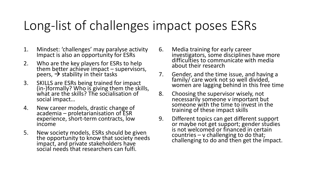- 1. Mindset: 'challenges' may paralyse activity Impact is also an opportunity for ESRs
- 2. Who are the key players for ESRs to help them better achieve impact – supervisors, peers,  $\rightarrow$  stability in their tasks
- 3. SKILLS are ESRs being trained for impact (in-)formally? Who is giving them the skills, what are the skills? The socialisation of what are the skills? The socialisation of social impact...
- 4. New career models, drastic change of academia – proletarianisation of ESR experience, short-term contracts, low income
- 5. New society models, ESRs should be given the opportunity to know that society needs impact, and private stakeholders have social needs that researchers can fulfi.
- 6. Media training for early career investigators, some disciplines have more difficulties to communicate with media about their research
- 7. Gender, and the time issue, and having a family/ care work not so well divided, women are lagging behind in this free time
- 8. Choosing the supervisor wisely, not necessarily someone v important but someone with the time to invest in the training of these impact skills
- 9. Different topics can get different support or maybe not get support; gender studies is not welcomed or financed in certain countries – v challenging to do that; challenging to do and then get the impact.